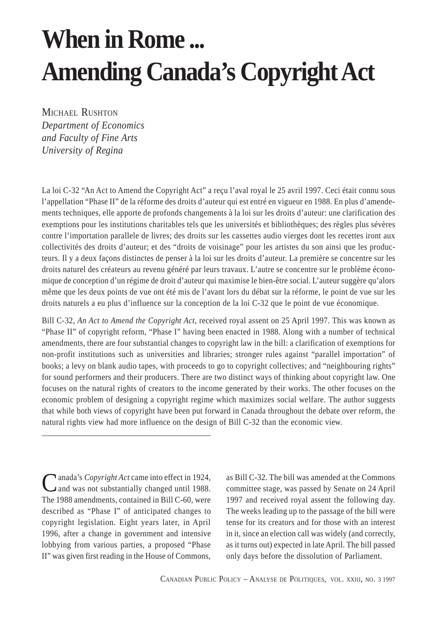# **When in Rome ... Amending Canada's Copyright Act**

MICHAEL RUSHTON *Department of Economics and Faculty of Fine Arts University of Regina*

La loi C-32 "An Act to Amend the Copyright Act" a reçu l'aval royal le 25 avril 1997. Ceci était connu sous l'appellation "Phase II" de la réforme des droits d'auteur qui est entré en vigueur en 1988. En plus d'amendements techniques, elle apporte de profonds changements à la loi sur les droits d'auteur: une clarification des exemptions pour les institutions charitables tels que les universités et bibliothèques; des règles plus sévères contre l'importation parallele de livres; des droits sur les cassettes audio vierges dont les recettes iront aux collectivités des droits d'auteur; et des "droits de voisinage" pour les artistes du son ainsi que les producteurs. Il y a deux façons distinctes de penser à la loi sur les droits d'auteur. La première se concentre sur les droits naturel des créateurs au revenu généré par leurs travaux. L'autre se concentre sur le problème économique de conception d'un régime de droit d'auteur qui maximise le bien-être social. L'auteur suggère qu'alors même que les deux points de vue ont été mis de l'avant lors du débat sur la réforme, le point de vue sur les droits naturels a eu plus d'influence sur la conception de la loi C-32 que le point de vue économique.

Bill C-32, *An Act to Amend the Copyright Act*, received royal assent on 25 April 1997. This was known as "Phase II" of copyright reform, "Phase I" having been enacted in 1988. Along with a number of technical amendments, there are four substantial changes to copyright law in the bill: a clarification of exemptions for non-profit institutions such as universities and libraries; stronger rules against "parallel importation" of books; a levy on blank audio tapes, with proceeds to go to copyright collectives; and "neighbouring rights" for sound performers and their producers. There are two distinct ways of thinking about copyright law. One focuses on the natural rights of creators to the income generated by their works. The other focuses on the economic problem of designing a copyright regime which maximizes social welfare. The author suggests that while both views of copyright have been put forward in Canada throughout the debate over reform, the natural rights view had more influence on the design of Bill C-32 than the economic view.

Canada's *Copyright Act* came into effect in 1924, and was not substantially changed until 1988. The 1988 amendments, contained in Bill C-60, were described as "Phase I" of anticipated changes to copyright legislation. Eight years later, in April 1996, after a change in government and intensive lobbying from various parties, a proposed "Phase II" was given first reading in the House of Commons,

as Bill C-32. The bill was amended at the Commons committee stage, was passed by Senate on 24 April 1997 and received royal assent the following day. The weeks leading up to the passage of the bill were tense for its creators and for those with an interest in it, since an election call was widely (and correctly, as it turns out) expected in late April. The bill passed only days before the dissolution of Parliament.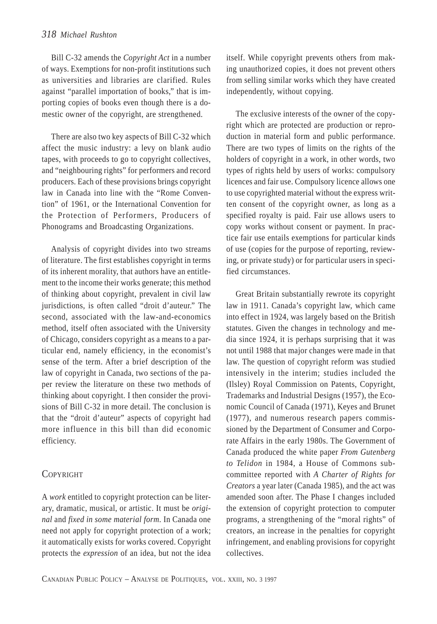Bill C-32 amends the *Copyright Act* in a number of ways. Exemptions for non-profit institutions such as universities and libraries are clarified. Rules against "parallel importation of books," that is importing copies of books even though there is a domestic owner of the copyright, are strengthened.

There are also two key aspects of Bill C-32 which affect the music industry: a levy on blank audio tapes, with proceeds to go to copyright collectives, and "neighbouring rights" for performers and record producers. Each of these provisions brings copyright law in Canada into line with the "Rome Convention" of 1961, or the International Convention for the Protection of Performers, Producers of Phonograms and Broadcasting Organizations.

Analysis of copyright divides into two streams of literature. The first establishes copyright in terms of its inherent morality, that authors have an entitlement to the income their works generate; this method of thinking about copyright, prevalent in civil law jurisdictions, is often called "droit d'auteur." The second, associated with the law-and-economics method, itself often associated with the University of Chicago, considers copyright as a means to a particular end, namely efficiency, in the economist's sense of the term. After a brief description of the law of copyright in Canada, two sections of the paper review the literature on these two methods of thinking about copyright. I then consider the provisions of Bill C-32 in more detail. The conclusion is that the "droit d'auteur" aspects of copyright had more influence in this bill than did economic efficiency.

## **COPYRIGHT**

A *work* entitled to copyright protection can be literary, dramatic, musical, or artistic. It must be *original* and *fixed in some material form*. In Canada one need not apply for copyright protection of a work; it automatically exists for works covered. Copyright protects the *expression* of an idea, but not the idea itself. While copyright prevents others from making unauthorized copies, it does not prevent others from selling similar works which they have created independently, without copying.

The exclusive interests of the owner of the copyright which are protected are production or reproduction in material form and public performance. There are two types of limits on the rights of the holders of copyright in a work, in other words, two types of rights held by users of works: compulsory licences and fair use. Compulsory licence allows one to use copyrighted material without the express written consent of the copyright owner, as long as a specified royalty is paid. Fair use allows users to copy works without consent or payment. In practice fair use entails exemptions for particular kinds of use (copies for the purpose of reporting, reviewing, or private study) or for particular users in specified circumstances.

Great Britain substantially rewrote its copyright law in 1911. Canada's copyright law, which came into effect in 1924, was largely based on the British statutes. Given the changes in technology and media since 1924, it is perhaps surprising that it was not until 1988 that major changes were made in that law. The question of copyright reform was studied intensively in the interim; studies included the (Ilsley) Royal Commission on Patents, Copyright, Trademarks and Industrial Designs (1957), the Economic Council of Canada (1971), Keyes and Brunet (1977), and numerous research papers commissioned by the Department of Consumer and Corporate Affairs in the early 1980s. The Government of Canada produced the white paper *From Gutenberg to Telidon* in 1984, a House of Commons subcommittee reported with *A Charter of Rights for Creators* a year later (Canada 1985), and the act was amended soon after. The Phase I changes included the extension of copyright protection to computer programs, a strengthening of the "moral rights" of creators, an increase in the penalties for copyright infringement, and enabling provisions for copyright collectives.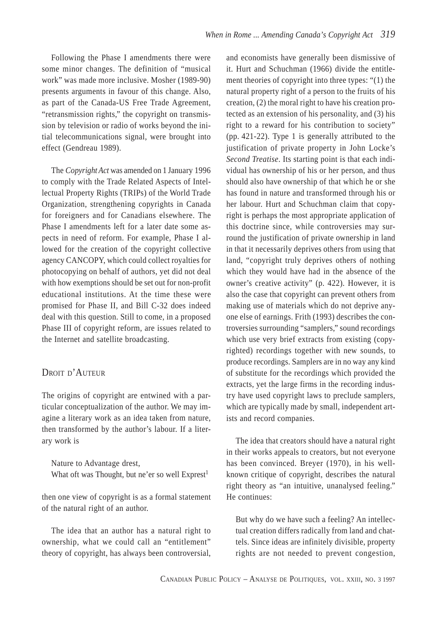Following the Phase I amendments there were some minor changes. The definition of "musical work" was made more inclusive. Mosher (1989-90) presents arguments in favour of this change. Also, as part of the Canada-US Free Trade Agreement, "retransmission rights," the copyright on transmission by television or radio of works beyond the initial telecommunications signal, were brought into effect (Gendreau 1989).

The *Copyright Act* was amended on 1 January 1996 to comply with the Trade Related Aspects of Intellectual Property Rights (TRIPs) of the World Trade Organization, strengthening copyrights in Canada for foreigners and for Canadians elsewhere. The Phase I amendments left for a later date some aspects in need of reform. For example, Phase I allowed for the creation of the copyright collective agency CANCOPY, which could collect royalties for photocopying on behalf of authors, yet did not deal with how exemptions should be set out for non-profit educational institutions. At the time these were promised for Phase II, and Bill C-32 does indeed deal with this question. Still to come, in a proposed Phase III of copyright reform, are issues related to the Internet and satellite broadcasting.

# DROIT D'AUTEUR

The origins of copyright are entwined with a particular conceptualization of the author. We may imagine a literary work as an idea taken from nature, then transformed by the author's labour. If a literary work is

Nature to Advantage drest, What oft was Thought, but ne'er so well  $Expert<sup>1</sup>$ 

then one view of copyright is as a formal statement of the natural right of an author.

The idea that an author has a natural right to ownership, what we could call an "entitlement" theory of copyright, has always been controversial,

and economists have generally been dismissive of it. Hurt and Schuchman (1966) divide the entitlement theories of copyright into three types: "(1) the natural property right of a person to the fruits of his creation, (2) the moral right to have his creation protected as an extension of his personality, and (3) his right to a reward for his contribution to society" (pp. 421-22). Type 1 is generally attributed to the justification of private property in John Locke's *Second Treatise*. Its starting point is that each individual has ownership of his or her person, and thus should also have ownership of that which he or she has found in nature and transformed through his or her labour. Hurt and Schuchman claim that copyright is perhaps the most appropriate application of this doctrine since, while controversies may surround the justification of private ownership in land in that it necessarily deprives others from using that land, "copyright truly deprives others of nothing which they would have had in the absence of the owner's creative activity" (p. 422). However, it is also the case that copyright can prevent others from making use of materials which do not deprive anyone else of earnings. Frith (1993) describes the controversies surrounding "samplers," sound recordings which use very brief extracts from existing (copyrighted) recordings together with new sounds, to produce recordings. Samplers are in no way any kind of substitute for the recordings which provided the extracts, yet the large firms in the recording industry have used copyright laws to preclude samplers, which are typically made by small, independent artists and record companies.

The idea that creators should have a natural right in their works appeals to creators, but not everyone has been convinced. Breyer (1970), in his wellknown critique of copyright, describes the natural right theory as "an intuitive, unanalysed feeling." He continues:

But why do we have such a feeling? An intellectual creation differs radically from land and chattels. Since ideas are infinitely divisible, property rights are not needed to prevent congestion,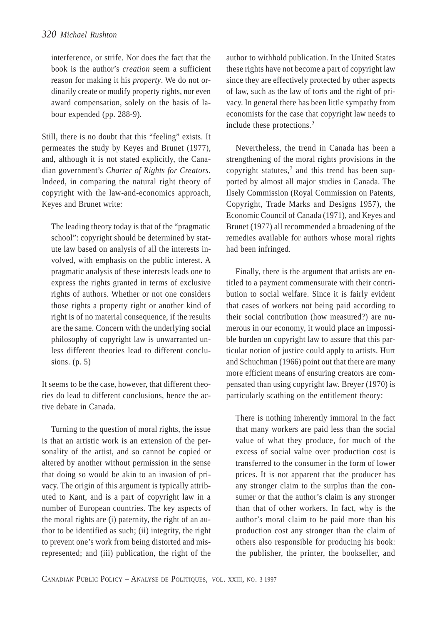interference, or strife. Nor does the fact that the book is the author's *creation* seem a sufficient reason for making it his *property*. We do not ordinarily create or modify property rights, nor even award compensation, solely on the basis of labour expended (pp. 288-9).

Still, there is no doubt that this "feeling" exists. It permeates the study by Keyes and Brunet (1977), and, although it is not stated explicitly, the Canadian government's *Charter of Rights for Creators*. Indeed, in comparing the natural right theory of copyright with the law-and-economics approach, Keyes and Brunet write:

The leading theory today is that of the "pragmatic school": copyright should be determined by statute law based on analysis of all the interests involved, with emphasis on the public interest. A pragmatic analysis of these interests leads one to express the rights granted in terms of exclusive rights of authors. Whether or not one considers those rights a property right or another kind of right is of no material consequence, if the results are the same. Concern with the underlying social philosophy of copyright law is unwarranted unless different theories lead to different conclusions. (p. 5)

It seems to be the case, however, that different theories do lead to different conclusions, hence the active debate in Canada.

Turning to the question of moral rights, the issue is that an artistic work is an extension of the personality of the artist, and so cannot be copied or altered by another without permission in the sense that doing so would be akin to an invasion of privacy. The origin of this argument is typically attributed to Kant, and is a part of copyright law in a number of European countries. The key aspects of the moral rights are (i) paternity, the right of an author to be identified as such; (ii) integrity, the right to prevent one's work from being distorted and misrepresented; and (iii) publication, the right of the

author to withhold publication. In the United States these rights have not become a part of copyright law since they are effectively protected by other aspects of law, such as the law of torts and the right of privacy. In general there has been little sympathy from economists for the case that copyright law needs to include these protections.<sup>2</sup>

Nevertheless, the trend in Canada has been a strengthening of the moral rights provisions in the copyright statutes, $3$  and this trend has been supported by almost all major studies in Canada. The Ilsely Commission (Royal Commission on Patents, Copyright, Trade Marks and Designs 1957), the Economic Council of Canada (1971), and Keyes and Brunet (1977) all recommended a broadening of the remedies available for authors whose moral rights had been infringed.

Finally, there is the argument that artists are entitled to a payment commensurate with their contribution to social welfare. Since it is fairly evident that cases of workers not being paid according to their social contribution (how measured?) are numerous in our economy, it would place an impossible burden on copyright law to assure that this particular notion of justice could apply to artists. Hurt and Schuchman (1966) point out that there are many more efficient means of ensuring creators are compensated than using copyright law. Breyer (1970) is particularly scathing on the entitlement theory:

There is nothing inherently immoral in the fact that many workers are paid less than the social value of what they produce, for much of the excess of social value over production cost is transferred to the consumer in the form of lower prices. It is not apparent that the producer has any stronger claim to the surplus than the consumer or that the author's claim is any stronger than that of other workers. In fact, why is the author's moral claim to be paid more than his production cost any stronger than the claim of others also responsible for producing his book: the publisher, the printer, the bookseller, and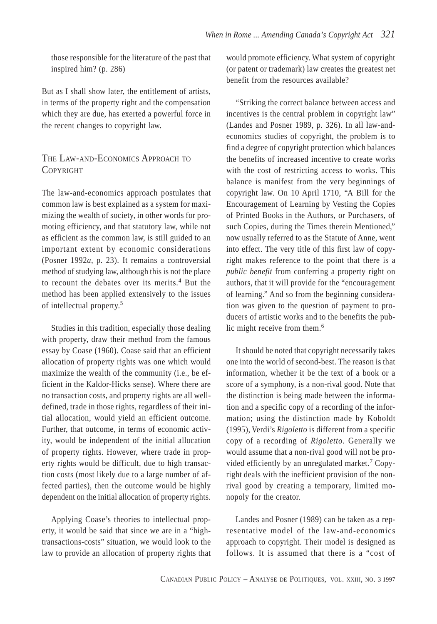those responsible for the literature of the past that inspired him? (p. 286)

But as I shall show later, the entitlement of artists, in terms of the property right and the compensation which they are due, has exerted a powerful force in the recent changes to copyright law.

# THE LAW-AND-ECONOMICS APPROACH TO **COPYRIGHT**

The law-and-economics approach postulates that common law is best explained as a system for maximizing the wealth of society, in other words for promoting efficiency, and that statutory law, while not as efficient as the common law, is still guided to an important extent by economic considerations (Posner 1992*a*, p. 23). It remains a controversial method of studying law, although this is not the place to recount the debates over its merits.4 But the method has been applied extensively to the issues of intellectual property.<sup>5</sup>

Studies in this tradition, especially those dealing with property, draw their method from the famous essay by Coase (1960). Coase said that an efficient allocation of property rights was one which would maximize the wealth of the community (i.e., be efficient in the Kaldor-Hicks sense). Where there are no transaction costs, and property rights are all welldefined, trade in those rights, regardless of their initial allocation, would yield an efficient outcome. Further, that outcome, in terms of economic activity, would be independent of the initial allocation of property rights. However, where trade in property rights would be difficult, due to high transaction costs (most likely due to a large number of affected parties), then the outcome would be highly dependent on the initial allocation of property rights.

Applying Coase's theories to intellectual property, it would be said that since we are in a "hightransactions-costs" situation, we would look to the law to provide an allocation of property rights that

would promote efficiency. What system of copyright (or patent or trademark) law creates the greatest net benefit from the resources available?

"Striking the correct balance between access and incentives is the central problem in copyright law" (Landes and Posner 1989, p. 326). In all law-andeconomics studies of copyright, the problem is to find a degree of copyright protection which balances the benefits of increased incentive to create works with the cost of restricting access to works. This balance is manifest from the very beginnings of copyright law. On 10 April 1710, "A Bill for the Encouragement of Learning by Vesting the Copies of Printed Books in the Authors, or Purchasers, of such Copies, during the Times therein Mentioned," now usually referred to as the Statute of Anne, went into effect. The very title of this first law of copyright makes reference to the point that there is a *public benefit* from conferring a property right on authors, that it will provide for the "encouragement of learning." And so from the beginning consideration was given to the question of payment to producers of artistic works and to the benefits the public might receive from them.<sup>6</sup>

It should be noted that copyright necessarily takes one into the world of second-best. The reason is that information, whether it be the text of a book or a score of a symphony, is a non-rival good. Note that the distinction is being made between the information and a specific copy of a recording of the information; using the distinction made by Koboldt (1995), Verdi's *Rigoletto* is different from a specific copy of a recording of *Rigoletto*. Generally we would assume that a non-rival good will not be provided efficiently by an unregulated market.<sup>7</sup> Copyright deals with the inefficient provision of the nonrival good by creating a temporary, limited monopoly for the creator.

Landes and Posner (1989) can be taken as a representative model of the law-and-economics approach to copyright. Their model is designed as follows. It is assumed that there is a "cost of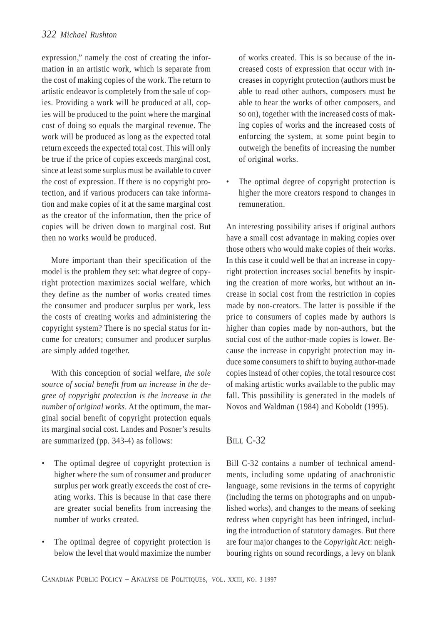expression," namely the cost of creating the information in an artistic work, which is separate from the cost of making copies of the work. The return to artistic endeavor is completely from the sale of copies. Providing a work will be produced at all, copies will be produced to the point where the marginal cost of doing so equals the marginal revenue. The work will be produced as long as the expected total return exceeds the expected total cost. This will only be true if the price of copies exceeds marginal cost, since at least some surplus must be available to cover the cost of expression. If there is no copyright protection, and if various producers can take information and make copies of it at the same marginal cost as the creator of the information, then the price of copies will be driven down to marginal cost. But then no works would be produced.

More important than their specification of the model is the problem they set: what degree of copyright protection maximizes social welfare, which they define as the number of works created times the consumer and producer surplus per work, less the costs of creating works and administering the copyright system? There is no special status for income for creators; consumer and producer surplus are simply added together.

With this conception of social welfare, *the sole source of social benefit from an increase in the degree of copyright protection is the increase in the number of original works*. At the optimum, the marginal social benefit of copyright protection equals its marginal social cost. Landes and Posner's results are summarized (pp. 343-4) as follows:

- The optimal degree of copyright protection is higher where the sum of consumer and producer surplus per work greatly exceeds the cost of creating works. This is because in that case there are greater social benefits from increasing the number of works created.
- The optimal degree of copyright protection is below the level that would maximize the number

of works created. This is so because of the increased costs of expression that occur with increases in copyright protection (authors must be able to read other authors, composers must be able to hear the works of other composers, and so on), together with the increased costs of making copies of works and the increased costs of enforcing the system, at some point begin to outweigh the benefits of increasing the number of original works.

The optimal degree of copyright protection is higher the more creators respond to changes in remuneration.

An interesting possibility arises if original authors have a small cost advantage in making copies over those others who would make copies of their works. In this case it could well be that an increase in copyright protection increases social benefits by inspiring the creation of more works, but without an increase in social cost from the restriction in copies made by non-creators. The latter is possible if the price to consumers of copies made by authors is higher than copies made by non-authors, but the social cost of the author-made copies is lower. Because the increase in copyright protection may induce some consumers to shift to buying author-made copies instead of other copies, the total resource cost of making artistic works available to the public may fall. This possibility is generated in the models of Novos and Waldman (1984) and Koboldt (1995).

## BILL C-32

Bill C-32 contains a number of technical amendments, including some updating of anachronistic language, some revisions in the terms of copyright (including the terms on photographs and on unpublished works), and changes to the means of seeking redress when copyright has been infringed, including the introduction of statutory damages. But there are four major changes to the *Copyright Act*: neighbouring rights on sound recordings, a levy on blank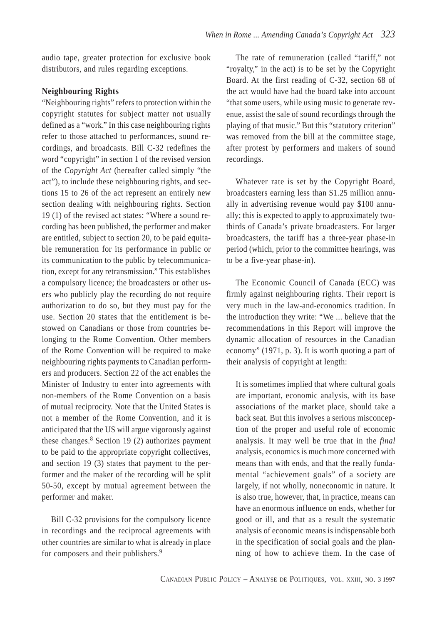audio tape, greater protection for exclusive book distributors, and rules regarding exceptions.

#### **Neighbouring Rights**

"Neighbouring rights" refers to protection within the copyright statutes for subject matter not usually defined as a "work." In this case neighbouring rights refer to those attached to performances, sound recordings, and broadcasts. Bill C-32 redefines the word "copyright" in section 1 of the revised version of the *Copyright Act* (hereafter called simply "the act"), to include these neighbouring rights, and sections 15 to 26 of the act represent an entirely new section dealing with neighbouring rights. Section 19 (1) of the revised act states: "Where a sound recording has been published, the performer and maker are entitled, subject to section 20, to be paid equitable remuneration for its performance in public or its communication to the public by telecommunication, except for any retransmission." This establishes a compulsory licence; the broadcasters or other users who publicly play the recording do not require authorization to do so, but they must pay for the use. Section 20 states that the entitlement is bestowed on Canadians or those from countries belonging to the Rome Convention. Other members of the Rome Convention will be required to make neighbouring rights payments to Canadian performers and producers. Section 22 of the act enables the Minister of Industry to enter into agreements with non-members of the Rome Convention on a basis of mutual reciprocity. Note that the United States is not a member of the Rome Convention, and it is anticipated that the US will argue vigorously against these changes. $8$  Section 19 (2) authorizes payment to be paid to the appropriate copyright collectives, and section 19 (3) states that payment to the performer and the maker of the recording will be split 50-50, except by mutual agreement between the performer and maker.

Bill C-32 provisions for the compulsory licence in recordings and the reciprocal agreements with other countries are similar to what is already in place for composers and their publishers.<sup>9</sup>

The rate of remuneration (called "tariff," not "royalty," in the act) is to be set by the Copyright Board. At the first reading of C-32, section 68 of the act would have had the board take into account "that some users, while using music to generate revenue, assist the sale of sound recordings through the playing of that music." But this "statutory criterion" was removed from the bill at the committee stage, after protest by performers and makers of sound recordings.

Whatever rate is set by the Copyright Board, broadcasters earning less than \$1.25 million annually in advertising revenue would pay \$100 annually; this is expected to apply to approximately twothirds of Canada's private broadcasters. For larger broadcasters, the tariff has a three-year phase-in period (which, prior to the committee hearings, was to be a five-year phase-in).

The Economic Council of Canada (ECC) was firmly against neighbouring rights. Their report is very much in the law-and-economics tradition. In the introduction they write: "We ... believe that the recommendations in this Report will improve the dynamic allocation of resources in the Canadian economy" (1971, p. 3). It is worth quoting a part of their analysis of copyright at length:

It is sometimes implied that where cultural goals are important, economic analysis, with its base associations of the market place, should take a back seat. But this involves a serious misconception of the proper and useful role of economic analysis. It may well be true that in the *final* analysis, economics is much more concerned with means than with ends, and that the really fundamental "achievement goals" of a society are largely, if not wholly, noneconomic in nature. It is also true, however, that, in practice, means can have an enormous influence on ends, whether for good or ill, and that as a result the systematic analysis of economic means is indispensable both in the specification of social goals and the planning of how to achieve them. In the case of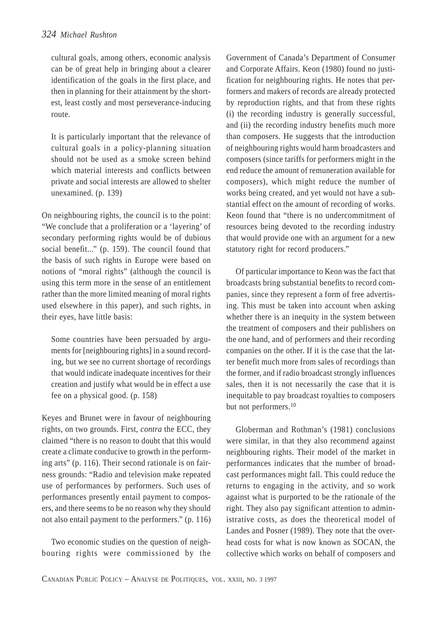cultural goals, among others, economic analysis can be of great help in bringing about a clearer identification of the goals in the first place, and then in planning for their attainment by the shortest, least costly and most perseverance-inducing route.

It is particularly important that the relevance of cultural goals in a policy-planning situation should not be used as a smoke screen behind which material interests and conflicts between private and social interests are allowed to shelter unexamined. (p. 139)

On neighbouring rights, the council is to the point: "We conclude that a proliferation or a 'layering' of secondary performing rights would be of dubious social benefit..." (p. 159). The council found that the basis of such rights in Europe were based on notions of "moral rights" (although the council is using this term more in the sense of an entitlement rather than the more limited meaning of moral rights used elsewhere in this paper), and such rights, in their eyes, have little basis:

Some countries have been persuaded by arguments for [neighbouring rights] in a sound recording, but we see no current shortage of recordings that would indicate inadequate incentives for their creation and justify what would be in effect a use fee on a physical good. (p. 158)

Keyes and Brunet were in favour of neighbouring rights, on two grounds. First, *contra* the ECC, they claimed "there is no reason to doubt that this would create a climate conducive to growth in the performing arts" (p. 116). Their second rationale is on fairness grounds: "Radio and television make repeated use of performances by performers. Such uses of performances presently entail payment to composers, and there seems to be no reason why they should not also entail payment to the performers." (p. 116)

Two economic studies on the question of neighbouring rights were commissioned by the Government of Canada's Department of Consumer and Corporate Affairs. Keon (1980) found no justification for neighbouring rights. He notes that performers and makers of records are already protected by reproduction rights, and that from these rights (i) the recording industry is generally successful, and (ii) the recording industry benefits much more than composers. He suggests that the introduction of neighbouring rights would harm broadcasters and composers (since tariffs for performers might in the end reduce the amount of remuneration available for composers), which might reduce the number of works being created, and yet would not have a substantial effect on the amount of recording of works. Keon found that "there is no undercommitment of resources being devoted to the recording industry that would provide one with an argument for a new statutory right for record producers."

Of particular importance to Keon was the fact that broadcasts bring substantial benefits to record companies, since they represent a form of free advertising. This must be taken into account when asking whether there is an inequity in the system between the treatment of composers and their publishers on the one hand, and of performers and their recording companies on the other. If it is the case that the latter benefit much more from sales of recordings than the former, and if radio broadcast strongly influences sales, then it is not necessarily the case that it is inequitable to pay broadcast royalties to composers but not performers.<sup>10</sup>

Globerman and Rothman's (1981) conclusions were similar, in that they also recommend against neighbouring rights. Their model of the market in performances indicates that the number of broadcast performances might fall. This could reduce the returns to engaging in the activity, and so work against what is purported to be the rationale of the right. They also pay significant attention to administrative costs, as does the theoretical model of Landes and Posner (1989). They note that the overhead costs for what is now known as SOCAN, the collective which works on behalf of composers and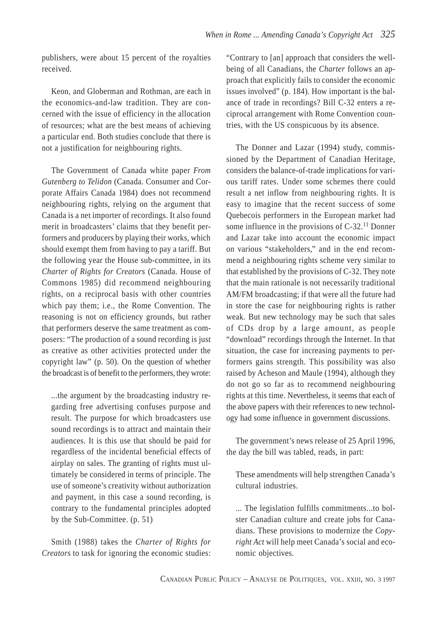publishers, were about 15 percent of the royalties received.

Keon, and Globerman and Rothman, are each in the economics-and-law tradition. They are concerned with the issue of efficiency in the allocation of resources; what are the best means of achieving a particular end. Both studies conclude that there is not a justification for neighbouring rights.

The Government of Canada white paper *From Gutenberg to Telidon* (Canada. Consumer and Corporate Affairs Canada 1984) does not recommend neighbouring rights, relying on the argument that Canada is a net importer of recordings. It also found merit in broadcasters' claims that they benefit performers and producers by playing their works, which should exempt them from having to pay a tariff. But the following year the House sub-committee, in its *Charter of Rights for Creators* (Canada. House of Commons 1985) did recommend neighbouring rights, on a reciprocal basis with other countries which pay them; i.e., the Rome Convention. The reasoning is not on efficiency grounds, but rather that performers deserve the same treatment as composers: "The production of a sound recording is just as creative as other activities protected under the copyright law" (p. 50). On the question of whether the broadcast is of benefit to the performers, they wrote:

...the argument by the broadcasting industry regarding free advertising confuses purpose and result. The purpose for which broadcasters use sound recordings is to attract and maintain their audiences. It is this use that should be paid for regardless of the incidental beneficial effects of airplay on sales. The granting of rights must ultimately be considered in terms of principle. The use of someone's creativity without authorization and payment, in this case a sound recording, is contrary to the fundamental principles adopted by the Sub-Committee. (p. 51)

Smith (1988) takes the *Charter of Rights for Creators* to task for ignoring the economic studies:

"Contrary to [an] approach that considers the wellbeing of all Canadians, the *Charter* follows an approach that explicitly fails to consider the economic issues involved" (p. 184). How important is the balance of trade in recordings? Bill C-32 enters a reciprocal arrangement with Rome Convention countries, with the US conspicuous by its absence.

The Donner and Lazar (1994) study, commissioned by the Department of Canadian Heritage, considers the balance-of-trade implications for various tariff rates. Under some schemes there could result a net inflow from neighbouring rights. It is easy to imagine that the recent success of some Quebecois performers in the European market had some influence in the provisions of C-32.<sup>11</sup> Donner and Lazar take into account the economic impact on various "stakeholders," and in the end recommend a neighbouring rights scheme very similar to that established by the provisions of C-32. They note that the main rationale is not necessarily traditional AM/FM broadcasting; if that were all the future had in store the case for neighbouring rights is rather weak. But new technology may be such that sales of CDs drop by a large amount, as people "download" recordings through the Internet. In that situation, the case for increasing payments to performers gains strength. This possibility was also raised by Acheson and Maule (1994), although they do not go so far as to recommend neighbouring rights at this time. Nevertheless, it seems that each of the above papers with their references to new technology had some influence in government discussions.

The government's news release of 25 April 1996, the day the bill was tabled, reads, in part:

These amendments will help strengthen Canada's cultural industries.

... The legislation fulfills commitments...to bolster Canadian culture and create jobs for Canadians. These provisions to modernize the *Copyright Act* will help meet Canada's social and economic objectives.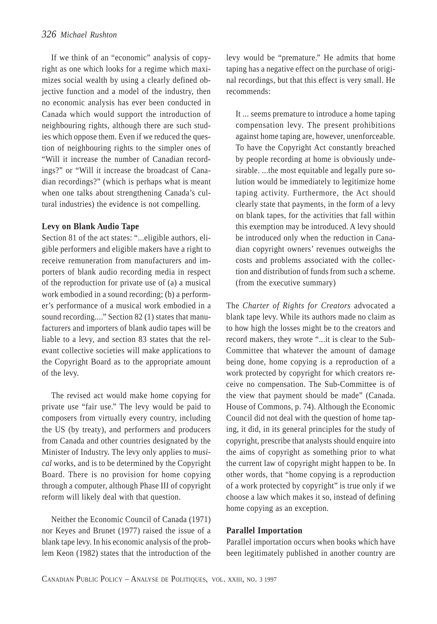If we think of an "economic" analysis of copyright as one which looks for a regime which maximizes social wealth by using a clearly defined objective function and a model of the industry, then no economic analysis has ever been conducted in Canada which would support the introduction of neighbouring rights, although there are such studies which oppose them. Even if we reduced the question of neighbouring rights to the simpler ones of "Will it increase the number of Canadian recordings?" or "Will it increase the broadcast of Canadian recordings?" (which is perhaps what is meant when one talks about strengthening Canada's cultural industries) the evidence is not compelling.

#### **Levy on Blank Audio Tape**

Section 81 of the act states: "...eligible authors, eligible performers and eligible makers have a right to receive remuneration from manufacturers and importers of blank audio recording media in respect of the reproduction for private use of (a) a musical work embodied in a sound recording; (b) a performer's performance of a musical work embodied in a sound recording...." Section 82 (1) states that manufacturers and importers of blank audio tapes will be liable to a levy, and section 83 states that the relevant collective societies will make applications to the Copyright Board as to the appropriate amount of the levy.

The revised act would make home copying for private use "fair use." The levy would be paid to composers from virtually every country, including the US (by treaty), and performers and producers from Canada and other countries designated by the Minister of Industry. The levy only applies to *musical* works, and is to be determined by the Copyright Board. There is no provision for home copying through a computer, although Phase III of copyright reform will likely deal with that question.

Neither the Economic Council of Canada (1971) nor Keyes and Brunet (1977) raised the issue of a blank tape levy. In his economic analysis of the problem Keon (1982) states that the introduction of the levy would be "premature." He admits that home taping has a negative effect on the purchase of original recordings, but that this effect is very small. He recommends:

It ... seems premature to introduce a home taping compensation levy. The present prohibitions against home taping are, however, unenforceable. To have the Copyright Act constantly breached by people recording at home is obviously undesirable. ...the most equitable and legally pure solution would be immediately to legitimize home taping activity. Furthermore, the Act should clearly state that payments, in the form of a levy on blank tapes, for the activities that fall within this exemption may be introduced. A levy should be introduced only when the reduction in Canadian copyright owners' revenues outweighs the costs and problems associated with the collection and distribution of funds from such a scheme. (from the executive summary)

The *Charter of Rights for Creators* advocated a blank tape levy. While its authors made no claim as to how high the losses might be to the creators and record makers, they wrote "...it is clear to the Sub-Committee that whatever the amount of damage being done, home copying is a reproduction of a work protected by copyright for which creators receive no compensation. The Sub-Committee is of the view that payment should be made" (Canada. House of Commons, p. 74). Although the Economic Council did not deal with the question of home taping, it did, in its general principles for the study of copyright, prescribe that analysts should enquire into the aims of copyright as something prior to what the current law of copyright might happen to be. In other words, that "home copying is a reproduction of a work protected by copyright" is true only if we choose a law which makes it so, instead of defining home copying as an exception.

#### **Parallel Importation**

Parallel importation occurs when books which have been legitimately published in another country are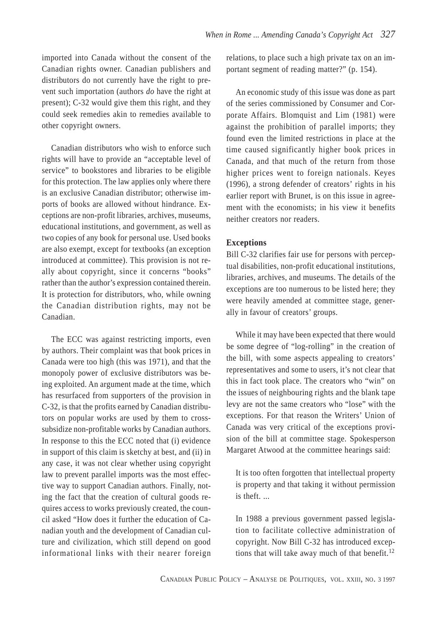imported into Canada without the consent of the Canadian rights owner. Canadian publishers and distributors do not currently have the right to prevent such importation (authors *do* have the right at present); C-32 would give them this right, and they could seek remedies akin to remedies available to other copyright owners.

Canadian distributors who wish to enforce such rights will have to provide an "acceptable level of service" to bookstores and libraries to be eligible for this protection. The law applies only where there is an exclusive Canadian distributor; otherwise imports of books are allowed without hindrance. Exceptions are non-profit libraries, archives, museums, educational institutions, and government, as well as two copies of any book for personal use. Used books are also exempt, except for textbooks (an exception introduced at committee). This provision is not really about copyright, since it concerns "books" rather than the author's expression contained therein. It is protection for distributors, who, while owning the Canadian distribution rights, may not be Canadian.

The ECC was against restricting imports, even by authors. Their complaint was that book prices in Canada were too high (this was 1971), and that the monopoly power of exclusive distributors was being exploited. An argument made at the time, which has resurfaced from supporters of the provision in C-32, is that the profits earned by Canadian distributors on popular works are used by them to crosssubsidize non-profitable works by Canadian authors. In response to this the ECC noted that (i) evidence in support of this claim is sketchy at best, and (ii) in any case, it was not clear whether using copyright law to prevent parallel imports was the most effective way to support Canadian authors. Finally, noting the fact that the creation of cultural goods requires access to works previously created, the council asked "How does it further the education of Canadian youth and the development of Canadian culture and civilization, which still depend on good informational links with their nearer foreign relations, to place such a high private tax on an important segment of reading matter?" (p. 154).

An economic study of this issue was done as part of the series commissioned by Consumer and Corporate Affairs. Blomquist and Lim (1981) were against the prohibition of parallel imports; they found even the limited restrictions in place at the time caused significantly higher book prices in Canada, and that much of the return from those higher prices went to foreign nationals. Keyes (1996), a strong defender of creators' rights in his earlier report with Brunet, is on this issue in agreement with the economists; in his view it benefits neither creators nor readers.

#### **Exceptions**

Bill C-32 clarifies fair use for persons with perceptual disabilities, non-profit educational institutions, libraries, archives, and museums. The details of the exceptions are too numerous to be listed here; they were heavily amended at committee stage, generally in favour of creators' groups.

While it may have been expected that there would be some degree of "log-rolling" in the creation of the bill, with some aspects appealing to creators' representatives and some to users, it's not clear that this in fact took place. The creators who "win" on the issues of neighbouring rights and the blank tape levy are not the same creators who "lose" with the exceptions. For that reason the Writers' Union of Canada was very critical of the exceptions provision of the bill at committee stage. Spokesperson Margaret Atwood at the committee hearings said:

It is too often forgotten that intellectual property is property and that taking it without permission is theft.

In 1988 a previous government passed legislation to facilitate collective administration of copyright. Now Bill C-32 has introduced exceptions that will take away much of that benefit.<sup>12</sup>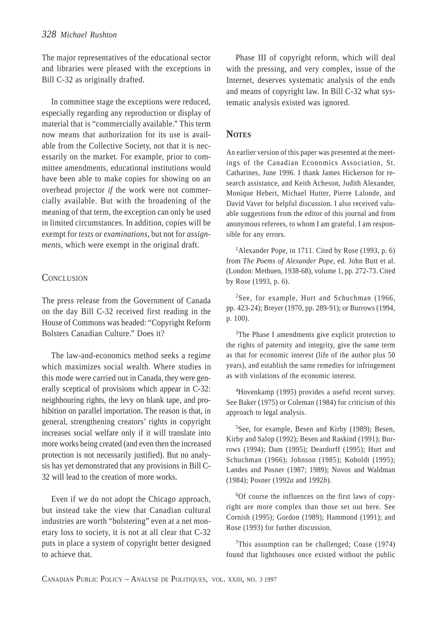The major representatives of the educational sector and libraries were pleased with the exceptions in Bill C-32 as originally drafted.

In committee stage the exceptions were reduced, especially regarding any reproduction or display of material that is "commercially available." This term now means that authorization for its use is available from the Collective Society, not that it is necessarily on the market. For example, prior to committee amendments, educational institutions would have been able to make copies for showing on an overhead projector *if* the work were not commercially available. But with the broadening of the meaning of that term, the exception can only be used in limited circumstances. In addition, copies will be exempt for *tests* or *examinations*, but not for *assignments*, which were exempt in the original draft.

## **CONCLUSION**

The press release from the Government of Canada on the day Bill C-32 received first reading in the House of Commons was headed: "Copyright Reform Bolsters Canadian Culture." Does it?

The law-and-economics method seeks a regime which maximizes social wealth. Where studies in this mode were carried out in Canada, they were generally sceptical of provisions which appear in C-32: neighbouring rights, the levy on blank tape, and prohibition on parallel importation. The reason is that, in general, strengthening creators' rights in copyright increases social welfare only if it will translate into more works being created (and even then the increased protection is not necessarily justified). But no analysis has yet demonstrated that any provisions in Bill C-32 will lead to the creation of more works.

Even if we do not adopt the Chicago approach, but instead take the view that Canadian cultural industries are worth "bolstering" even at a net monetary loss to society, it is not at all clear that C-32 puts in place a system of copyright better designed to achieve that.

Phase III of copyright reform, which will deal with the pressing, and very complex, issue of the Internet, deserves systematic analysis of the ends and means of copyright law. In Bill C-32 what systematic analysis existed was ignored.

# **NOTES**

An earlier version of this paper was presented at the meetings of the Canadian Economics Association, St. Catharines, June 1996. I thank James Hickerson for research assistance, and Keith Acheson, Judith Alexander, Monique Hebert, Michael Hutter, Pierre Lalonde, and David Vaver for helpful discussion. I also received valuable suggestions from the editor of this journal and from anonymous referees, to whom I am grateful. I am responsible for any errors.

1Alexander Pope, in 1711. Cited by Rose (1993, p. 6) from *The Poems of Alexander Pope*, ed. John Butt et al. (London: Methuen, 1938-68), volume 1, pp. 272-73. Cited by Rose (1993, p. 6).

<sup>2</sup>See, for example, Hurt and Schuchman (1966, pp. 423-24); Breyer (1970, pp. 289-91); or Burrows (1994, p. 100).

<sup>3</sup>The Phase I amendments give explicit protection to the rights of paternity and integrity, give the same term as that for economic interest (life of the author plus 50 years), and establish the same remedies for infringement as with violations of the economic interest.

4Hovenkamp (1995) provides a useful recent survey. See Baker (1975) or Coleman (1984) for criticism of this approach to legal analysis.

5See, for example, Besen and Kirby (1989); Besen, Kirby and Salop (1992); Besen and Raskind (1991); Burrows (1994); Dam (1995); Deardorff (1995); Hurt and Schuchman (1966); Johnson (1985); Koboldt (1995); Landes and Posner (1987; 1989); Novos and Waldman (1984); Posner (1992*a* and 1992*b*).

6Of course the influences on the first laws of copyright are more complex than those set out here. See Cornish (1995); Gordon (1989); Hammond (1991); and Rose (1993) for further discussion.

7This assumption can be challenged; Coase (1974) found that lighthouses once existed without the public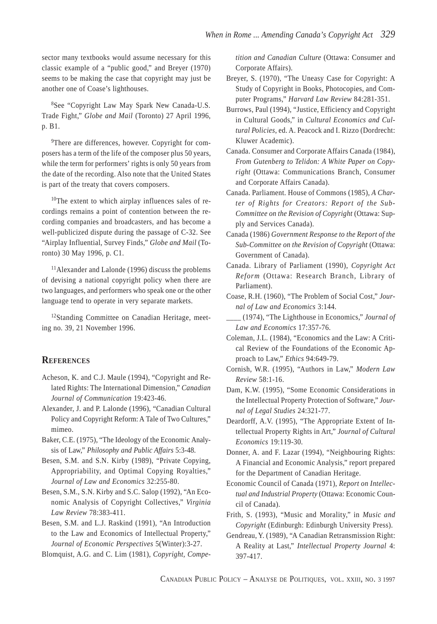sector many textbooks would assume necessary for this classic example of a "public good," and Breyer (1970) seems to be making the case that copyright may just be another one of Coase's lighthouses.

8See "Copyright Law May Spark New Canada-U.S. Trade Fight," *Globe and Mail* (Toronto) 27 April 1996, p. B1.

9There are differences, however. Copyright for composers has a term of the life of the composer plus 50 years, while the term for performers' rights is only 50 years from the date of the recording. Also note that the United States is part of the treaty that covers composers.

10The extent to which airplay influences sales of recordings remains a point of contention between the recording companies and broadcasters, and has become a well-publicized dispute during the passage of C-32. See "Airplay Influential, Survey Finds," *Globe and Mail* (Toronto) 30 May 1996, p. C1.

11Alexander and Lalonde (1996) discuss the problems of devising a national copyright policy when there are two languages, and performers who speak one or the other language tend to operate in very separate markets.

12Standing Committee on Canadian Heritage, meeting no. 39, 21 November 1996.

## **REFERENCES**

- Acheson, K. and C.J. Maule (1994), "Copyright and Related Rights: The International Dimension," *Canadian Journal of Communication* 19:423-46.
- Alexander, J. and P. Lalonde (1996), "Canadian Cultural Policy and Copyright Reform: A Tale of Two Cultures," mimeo.
- Baker, C.E. (1975), "The Ideology of the Economic Analysis of Law," *Philosophy and Public Affairs* 5:3-48.
- Besen, S.M. and S.N. Kirby (1989), "Private Copying, Appropriability, and Optimal Copying Royalties," *Journal of Law and Economics* 32:255-80.
- Besen, S.M., S.N. Kirby and S.C. Salop (1992), "An Economic Analysis of Copyright Collectives," *Virginia Law Review* 78:383-411.

Besen, S.M. and L.J. Raskind (1991), "An Introduction to the Law and Economics of Intellectual Property," *Journal of Economic Perspectives* 5(Winter):3-27.

Blomquist, A.G. and C. Lim (1981), *Copyright, Compe-*

*tition and Canadian Culture* (Ottawa: Consumer and Corporate Affairs).

- Breyer, S. (1970), "The Uneasy Case for Copyright: A Study of Copyright in Books, Photocopies, and Computer Programs," *Harvard Law Review* 84:281-351.
- Burrows, Paul (1994), "Justice, Efficiency and Copyright in Cultural Goods," in *Cultural Economics and Cultural Policies*, ed. A. Peacock and I. Rizzo (Dordrecht: Kluwer Academic).
- Canada. Consumer and Corporate Affairs Canada (1984), *From Gutenberg to Telidon: A White Paper on Copyright* (Ottawa: Communications Branch, Consumer and Corporate Affairs Canada).
- Canada. Parliament. House of Commons (1985), *A Charter of Rights for Creators: Report of the Sub-Committee on the Revision of Copyright* (Ottawa: Supply and Services Canada).
- Canada (1986) *Government Response to the Report of the Sub-Committee on the Revision of Copyright* (Ottawa: Government of Canada).
- Canada. Library of Parliament (1990), *Copyright Act Reform* (Ottawa: Research Branch, Library of Parliament).
- Coase, R.H. (1960), "The Problem of Social Cost," *Journal of Law and Economics* 3:144.
- \_\_\_\_ (1974), "The Lighthouse in Economics," *Journal of Law and Economics* 17:357-76.
- Coleman, J.L. (1984), "Economics and the Law: A Critical Review of the Foundations of the Economic Approach to Law," *Ethics* 94:649-79.
- Cornish, W.R. (1995), "Authors in Law," *Modern Law Review* 58:1-16.
- Dam, K.W. (1995), "Some Economic Considerations in the Intellectual Property Protection of Software," *Journal of Legal Studies* 24:321-77.
- Deardorff, A.V. (1995), "The Appropriate Extent of Intellectual Property Rights in Art," *Journal of Cultural Economics* 19:119-30.
- Donner, A. and F. Lazar (1994), "Neighbouring Rights: A Financial and Economic Analysis," report prepared for the Department of Canadian Heritage.
- Economic Council of Canada (1971), *Report on Intellectual and Industrial Property* (Ottawa: Economic Council of Canada).
- Frith, S. (1993), "Music and Morality," in *Music and Copyright* (Edinburgh: Edinburgh University Press).
- Gendreau, Y. (1989), "A Canadian Retransmission Right: A Reality at Last," *Intellectual Property Journal* 4: 397-417.